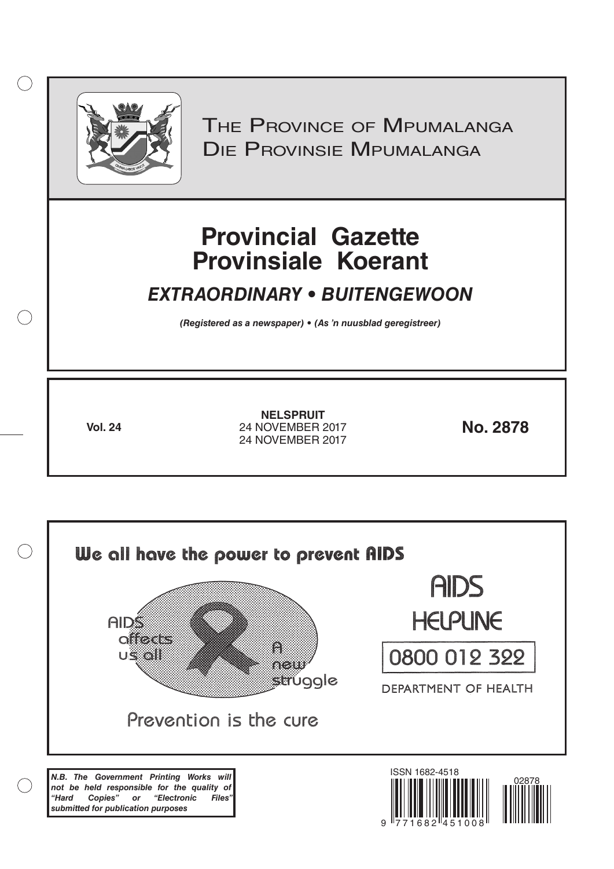

 $( )$ 

THE PROVINCE OF MPUMALANGA Die Provinsie Mpumalanga

# **Provincial Gazette Provinsiale Koerant**

## *EXTRAORDINARY • BUITENGEWOON*

*(Registered as a newspaper) • (As 'n nuusblad geregistreer)*

**Vol. 24 No. 2878** 24 NOVEMBER 2017 **NELSPRUIT** 24 NOVEMBER 2017

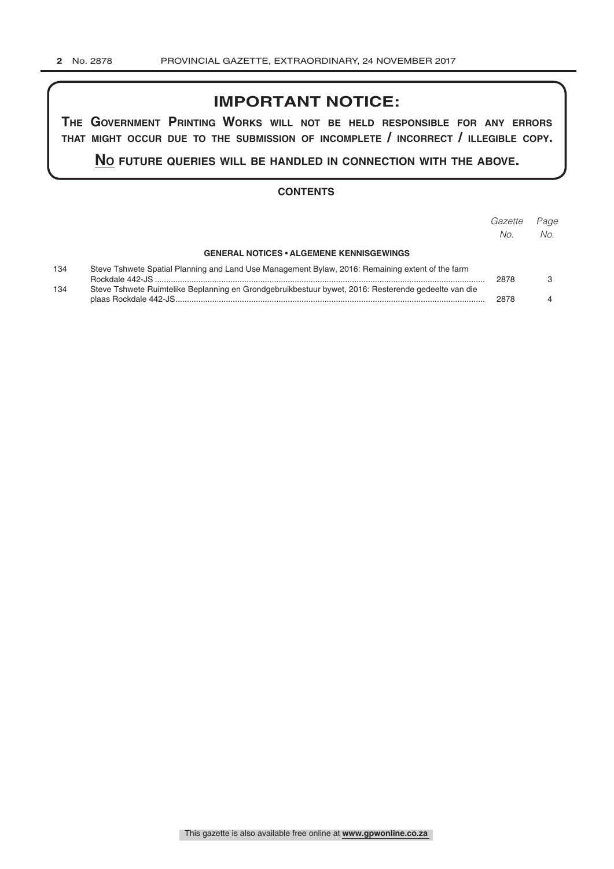### **IMPORTANT NOTICE:**

**The GovernmenT PrinTinG Works Will noT be held resPonsible for any errors ThaT miGhT occur due To The submission of incomPleTe / incorrecT / illeGible coPy.**

**no fuTure queries Will be handled in connecTion WiTh The above.**

### **CONTENTS**

|     |                                                                                                     | Gazette<br>No. | Page<br>No. |
|-----|-----------------------------------------------------------------------------------------------------|----------------|-------------|
|     | <b>GENERAL NOTICES • ALGEMENE KENNISGEWINGS</b>                                                     |                |             |
| 134 | Steve Tshwete Spatial Planning and Land Use Management Bylaw, 2016: Remaining extent of the farm    | 2878           |             |
| 134 | Steve Tshwete Ruimtelike Beplanning en Grondgebruikbestuur bywet, 2016: Resterende gedeelte van die | 2878           |             |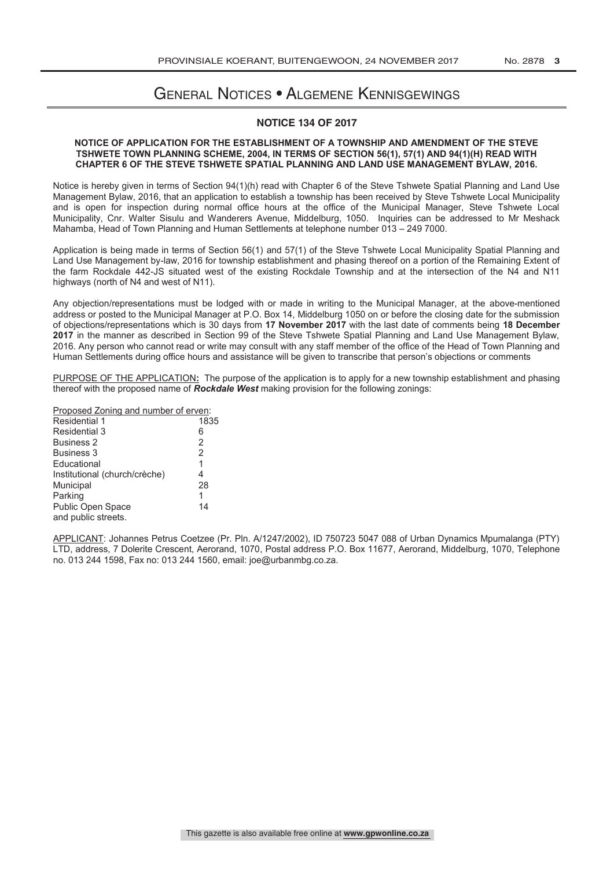### General Notices • Algemene Kennisgewings

### **NOTICE 134 OF 2017**

### **NOTICE OF APPLICATION FOR THE ESTABLISHMENT OF A TOWNSHIP AND AMENDMENT OF THE STEVE TSHWETE TOWN PLANNING SCHEME, 2004, IN TERMS OF SECTION 56(1), 57(1) AND 94(1)(H) READ WITH CHAPTER 6 OF THE STEVE TSHWETE SPATIAL PLANNING AND LAND USE MANAGEMENT BYLAW, 2016.**

Notice is hereby given in terms of Section 94(1)(h) read with Chapter 6 of the Steve Tshwete Spatial Planning and Land Use Management Bylaw, 2016, that an application to establish a township has been received by Steve Tshwete Local Municipality and is open for inspection during normal office hours at the office of the Municipal Manager, Steve Tshwete Local Municipality, Cnr. Walter Sisulu and Wanderers Avenue, Middelburg, 1050. Inquiries can be addressed to Mr Meshack Mahamba, Head of Town Planning and Human Settlements at telephone number 013 – 249 7000.

Application is being made in terms of Section 56(1) and 57(1) of the Steve Tshwete Local Municipality Spatial Planning and Land Use Management by-law, 2016 for township establishment and phasing thereof on a portion of the Remaining Extent of the farm Rockdale 442-JS situated west of the existing Rockdale Township and at the intersection of the N4 and N11 highways (north of N4 and west of N11).

Any objection/representations must be lodged with or made in writing to the Municipal Manager, at the above-mentioned address or posted to the Municipal Manager at P.O. Box 14, Middelburg 1050 on or before the closing date for the submission of objections/representations which is 30 days from **17 November 2017** with the last date of comments being **18 December 2017** in the manner as described in Section 99 of the Steve Tshwete Spatial Planning and Land Use Management Bylaw, 2016. Any person who cannot read or write may consult with any staff member of the office of the Head of Town Planning and Human Settlements during office hours and assistance will be given to transcribe that person's objections or comments

PURPOSE OF THE APPLICATION**:** The purpose of the application is to apply for a new township establishment and phasing thereof with the proposed name of *Rockdale West* making provision for the following zonings:

Proposed Zoning and number of erven: Residential 1 1835 Residential 3 6 Business 2 2 Business 3 2 Educational 1 Institutional (church/crèche) 4 **Municipal** Parking 1<br>Public Open Space 14 Public Open Space

and public streets.

APPLICANT: Johannes Petrus Coetzee (Pr. Pln. A/1247/2002), ID 750723 5047 088 of Urban Dynamics Mpumalanga (PTY) LTD, address, 7 Dolerite Crescent, Aerorand, 1070, Postal address P.O. Box 11677, Aerorand, Middelburg, 1070, Telephone no. 013 244 1598, Fax no: 013 244 1560, email: joe@urbanmbg.co.za.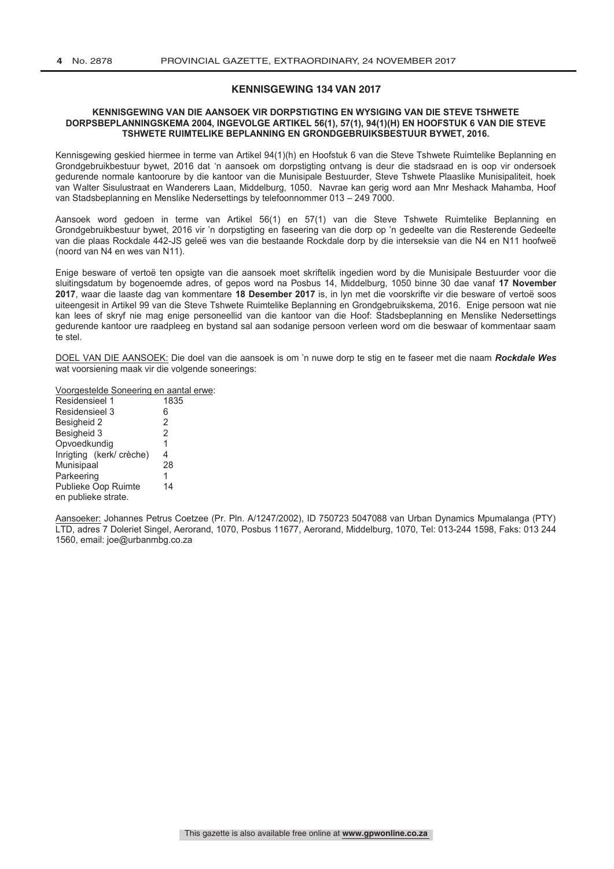#### **KENNISGEWING 134 VAN 2017**

#### **KENNISGEWING VAN DIE AANSOEK VIR DORPSTIGTING EN WYSIGING VAN DIE STEVE TSHWETE DORPSBEPLANNINGSKEMA 2004, INGEVOLGE ARTIKEL 56(1), 57(1), 94(1)(H) EN HOOFSTUK 6 VAN DIE STEVE TSHWETE RUIMTELIKE BEPLANNING EN GRONDGEBRUIKSBESTUUR BYWET, 2016.**

Kennisgewing geskied hiermee in terme van Artikel 94(1)(h) en Hoofstuk 6 van die Steve Tshwete Ruimtelike Beplanning en Grondgebruikbestuur bywet, 2016 dat 'n aansoek om dorpstigting ontvang is deur die stadsraad en is oop vir ondersoek gedurende normale kantoorure by die kantoor van die Munisipale Bestuurder, Steve Tshwete Plaaslike Munisipaliteit, hoek van Walter Sisulustraat en Wanderers Laan, Middelburg, 1050. Navrae kan gerig word aan Mnr Meshack Mahamba, Hoof van Stadsbeplanning en Menslike Nedersettings by telefoonnommer 013 - 249 7000.

Aansoek word gedoen in terme van Artikel 56(1) en 57(1) van die Steve Tshwete Ruimtelike Beplanning en Grondgebruikbestuur bywet, 2016 vir 'n dorpstigting en faseering van die dorp op 'n gedeelte van die Resterende Gedeelte van die plaas Rockdale 442-JS geleë wes van die bestaande Rockdale dorp by die interseksie van die N4 en N11 hoofweë (noord van N4 en wes van N11).

Enige besware of vertoë ten opsigte van die aansoek moet skriftelik ingedien word by die Munisipale Bestuurder voor die sluitingsdatum by bogenoemde adres, of gepos word na Posbus 14, Middelburg, 1050 binne 30 dae vanaf **17 November 2017**, waar die laaste dag van kommentare **18 Desember 2017** is, in lyn met die voorskrifte vir die besware of vertoë soos uiteengesit in Artikel 99 van die Steve Tshwete Ruimtelike Beplanning en Grondgebruikskema, 2016. Enige persoon wat nie kan lees of skryf nie mag enige personeellid van die kantoor van die Hoof: Stadsbeplanning en Menslike Nedersettings gedurende kantoor ure raadpleeg en bystand sal aan sodanige persoon verleen word om die beswaar of kommentaar saam te stel.

DOEL VAN DIE AANSOEK: Die doel van die aansoek is om 'n nuwe dorp te stig en te faseer met die naam *Rockdale Wes* wat voorsiening maak vir die volgende soneerings:

Voorgestelde Soneering en aantal erwe:

| Residensieel 1             | 1835           |
|----------------------------|----------------|
| Residensieel 3             | 6              |
| Besigheid 2                | $\overline{2}$ |
| Besigheid 3                | 2              |
| Opvoedkundig               | 1              |
| Inrigting (kerk/crèche)    | 4              |
| Munisipaal                 | 28             |
| Parkeering                 | 1              |
| <b>Publieke Oop Ruimte</b> | 14             |
| en publieke strate.        |                |
|                            |                |

Aansoeker: Johannes Petrus Coetzee (Pr. Pln. A/1247/2002), ID 750723 5047088 van Urban Dynamics Mpumalanga (PTY) LTD, adres 7 Doleriet Singel, Aerorand, 1070, Posbus 11677, Aerorand, Middelburg, 1070, Tel: 013-244 1598, Faks: 013 244 1560, email: joe@urbanmbg.co.za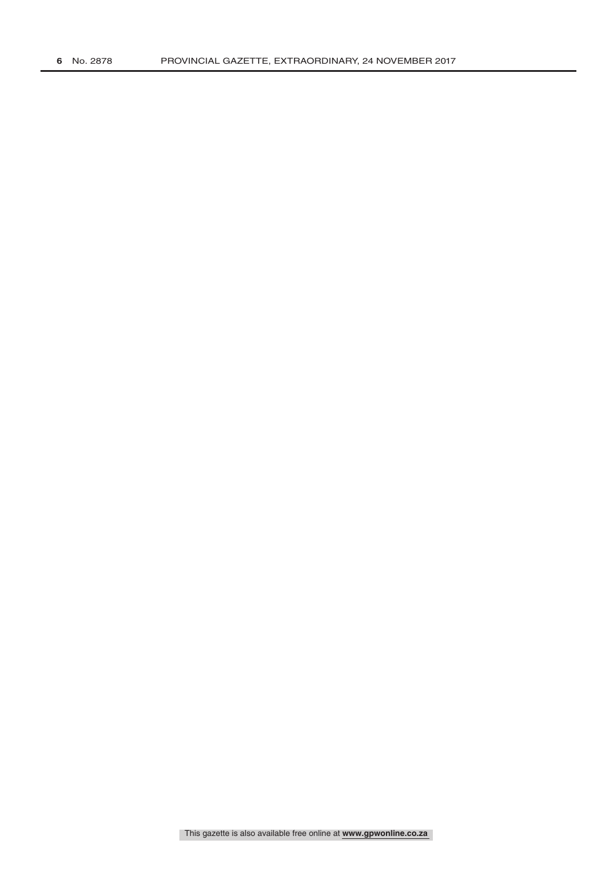This gazette is also available free online at **www.gpwonline.co.za**